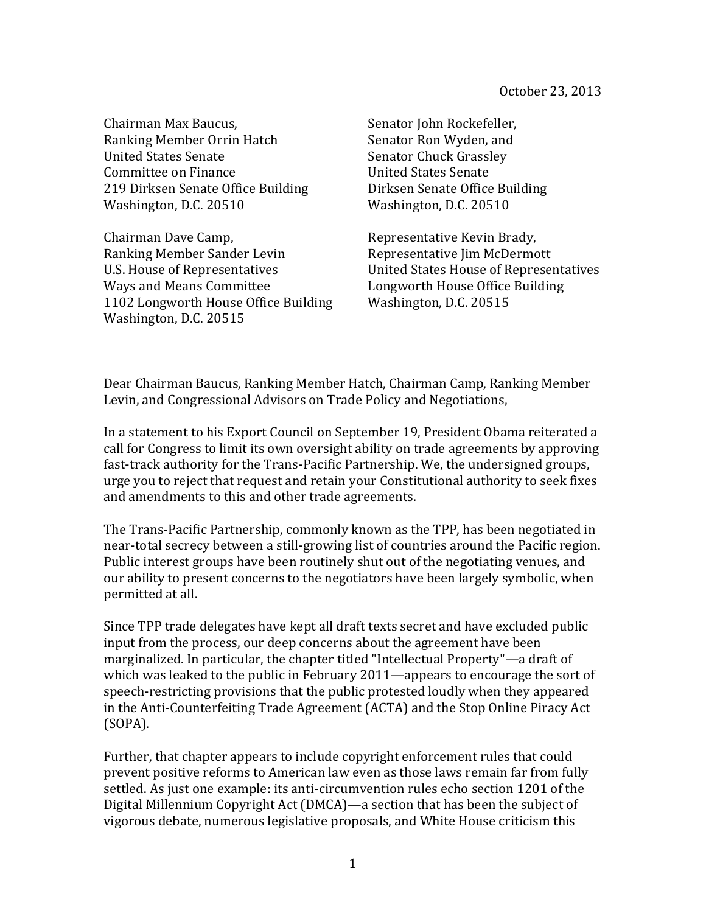Chairman Max Baucus, Ranking Member Orrin Hatch United States Senate Committee on Finance 219 Dirksen Senate Office Building Washington, D.C. 20510

Chairman Dave Camp, Ranking Member Sander Levin U.S. House of Representatives Ways and Means Committee 1102 Longworth House Office Building Washington, D.C. 20515

Senator John Rockefeller, Senator Ron Wyden, and Senator Chuck Grassley United States Senate Dirksen Senate Office Building Washington, D.C. 20510

Representative Kevin Brady, Representative Jim McDermott United States House of Representatives Longworth House Office Building Washington, D.C. 20515

Dear Chairman Baucus, Ranking Member Hatch, Chairman Camp, Ranking Member Levin, and Congressional Advisors on Trade Policy and Negotiations,

In a statement to his Export Council on September 19, President Obama reiterated a call for Congress to limit its own oversight ability on trade agreements by approving fast-track authority for the Trans-Pacific Partnership. We, the undersigned groups, urge you to reject that request and retain your Constitutional authority to seek fixes and amendments to this and other trade agreements.

The Trans-Pacific Partnership, commonly known as the TPP, has been negotiated in near-total secrecy between a still-growing list of countries around the Pacific region. Public interest groups have been routinely shut out of the negotiating venues, and our ability to present concerns to the negotiators have been largely symbolic, when permitted at all.

Since TPP trade delegates have kept all draft texts secret and have excluded public input from the process, our deep concerns about the agreement have been marginalized. In particular, the chapter titled "Intellectual Property"—a draft of which was leaked to the public in February  $2011$ —appears to encourage the sort of speech-restricting provisions that the public protested loudly when they appeared in the Anti-Counterfeiting Trade Agreement (ACTA) and the Stop Online Piracy Act (SOPA).

Further, that chapter appears to include copyright enforcement rules that could prevent positive reforms to American law even as those laws remain far from fully settled. As just one example: its anti-circumvention rules echo section 1201 of the Digital Millennium Copyright Act (DMCA)—a section that has been the subject of vigorous debate, numerous legislative proposals, and White House criticism this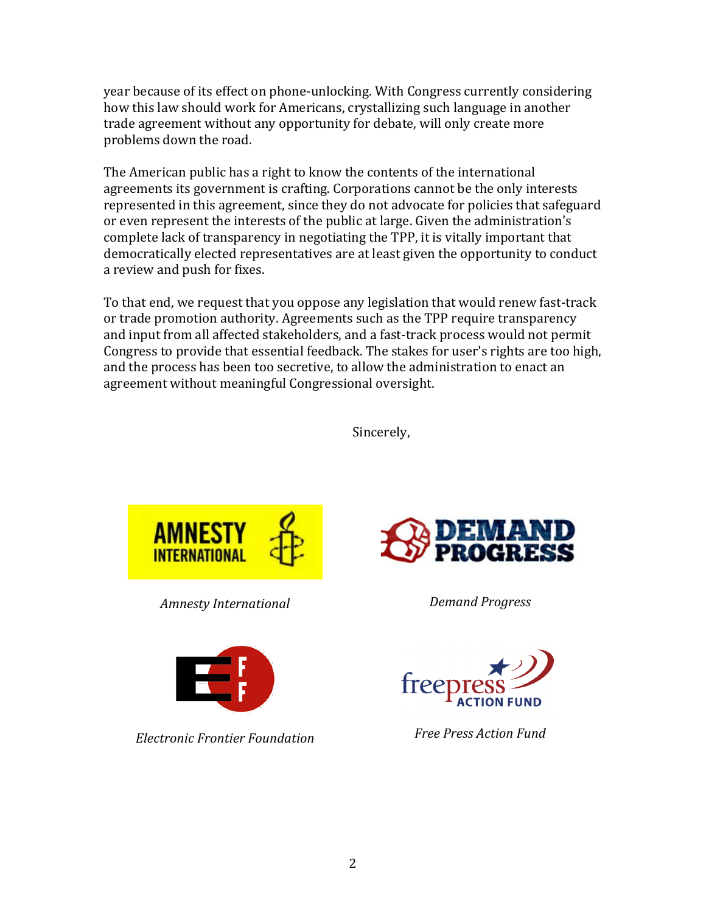year because of its effect on phone-unlocking. With Congress currently considering how this law should work for Americans, crystallizing such language in another trade agreement without any opportunity for debate, will only create more problems down the road.

The American public has a right to know the contents of the international agreements its government is crafting. Corporations cannot be the only interests represented in this agreement, since they do not advocate for policies that safeguard or even represent the interests of the public at large. Given the administration's complete lack of transparency in negotiating the TPP, it is vitally important that democratically elected representatives are at least given the opportunity to conduct a review and push for fixes.

To that end, we request that you oppose any legislation that would renew fast-track or trade promotion authority. Agreements such as the TPP require transparency and input from all affected stakeholders, and a fast-track process would not permit Congress to provide that essential feedback. The stakes for user's rights are too high, and the process has been too secretive, to allow the administration to enact an agreement without meaningful Congressional oversight.

Sincerely,



*Amnesty International Demand Progress*



*Electronic Frontier Foundation Free Press Action Fund*